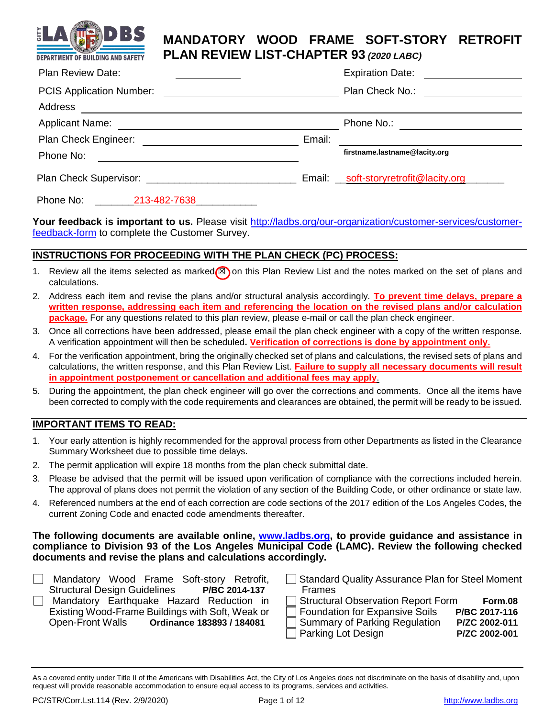

# **MANDATORY WOOD FRAME SOFT-STORY RETROFIT PLAN REVIEW LIST-CHAPTER 93** *(2020 LABC)*

| <b>Plan Review Date:</b>        |              |        | <b>Expiration Date:</b>               |  |
|---------------------------------|--------------|--------|---------------------------------------|--|
| <b>PCIS Application Number:</b> |              |        | Plan Check No.:                       |  |
| Address                         |              |        |                                       |  |
| <b>Applicant Name:</b>          |              |        | Phone No.:                            |  |
| Plan Check Engineer: [1994]     |              | Email: |                                       |  |
| Phone No:                       |              |        | firstname.lastname@lacity.org         |  |
|                                 |              |        | Email: _soft-storyretrofit@lacity.org |  |
| Phone No:                       | 213-482-7638 |        |                                       |  |

**Your feedback is important to us.** Please visit [http://ladbs.org/our-organization/customer-services/customer](http://ladbs.org/our-organization/customer-services/customer-feedback-form)[feedback-form](http://ladbs.org/our-organization/customer-services/customer-feedback-form) to complete the Customer Survey.

### **INSTRUCTIONS FOR PROCEEDING WITH THE PLAN CHECK (PC) PROCESS:**

- 1. Review all the items selected as marked **<b>n**on this Plan Review List and the notes marked on the set of plans and calculations.
- 2. Address each item and revise the plans and/or structural analysis accordingly. **To prevent time delays, prepare a written response, addressing each item and referencing the location on the revised plans and/or calculation package***.* For any questions related to this plan review, please e-mail or call the plan check engineer.
- 3. Once all corrections have been addressed, please email the plan check engineer with a copy of the written response. A verification appointment will then be scheduled**. Verification of corrections is done by appointment only.**
- 4. For the verification appointment, bring the originally checked set of plans and calculations, the revised sets of plans and calculations, the written response, and this Plan Review List. **Failure to supply all necessary documents will result in appointment postponement or cancellation and additional fees may apply**.
- 5. During the appointment, the plan check engineer will go over the corrections and comments. Once all the items have been corrected to comply with the code requirements and clearances are obtained, the permit will be ready to be issued.

### **IMPORTANT ITEMS TO READ:**

- 1. Your early attention is highly recommended for the approval process from other Departments as listed in the Clearance Summary Worksheet due to possible time delays.
- 2. The permit application will expire 18 months from the plan check submittal date.
- 3. Please be advised that the permit will be issued upon verification of compliance with the corrections included herein. The approval of plans does not permit the violation of any section of the Building Code, or other ordinance or state law.
- 4. Referenced numbers at the end of each correction are code sections of the 2017 edition of the Los Angeles Codes, the current Zoning Code and enacted code amendments thereafter.

### **The following documents are available online, [www.ladbs.org,](http://www.ladbs.org/) to provide guidance and assistance in compliance to Division 93 of the Los Angeles Municipal Code (LAMC). Review the following checked documents and revise the plans and calculations accordingly.**

- **Mandatory Wood Frame Soft-story Retrofit,** Structural Design Guidelines **P/BC 2014-137 Mandatory Earthquake Hazard Reduction in** Existing Wood-Frame Buildings with Soft, Weak or Open-Front Walls **Ordinance 183893 / 184081**
- Frames Structural Observation Report Form **Form.08**

| $\Box$ Structural Observation Report Form | <b>FOIII.VO</b> |
|-------------------------------------------|-----------------|
| Foundation for Expansive Soils            | P/BC 2017-116   |
| Summary of Parking Regulation             | P/ZC 2002-011   |
| $\Box$ Parking Lot Design                 | P/ZC 2002-001   |

Standard Quality Assurance Plan for Steel Moment

As a covered entity under Title II of the Americans with Disabilities Act, the City of Los Angeles does not discriminate on the basis of disability and, upon request will provide reasonable accommodation to ensure equal access to its programs, services and activities.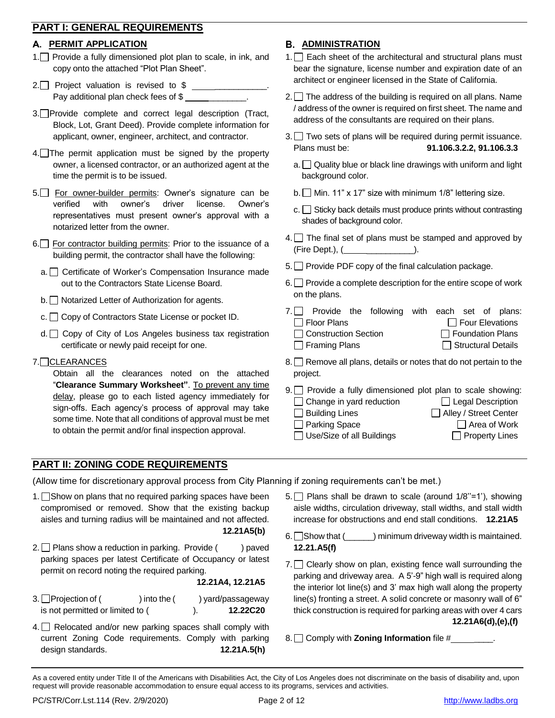## **PART I: GENERAL REQUIREMENTS**

### **PERMIT APPLICATION**

- 1. Provide a fully dimensioned plot plan to scale, in ink, and copy onto the attached "Plot Plan Sheet".
- 2. Project valuation is revised to \$ \_\_\_\_\_\_\_\_\_\_\_. Pay additional plan check fees of \$
- 3. Provide complete and correct legal description (Tract, Block, Lot, Grant Deed). Provide complete information for applicant, owner, engineer, architect, and contractor.
- 4. The permit application must be signed by the property owner, a licensed contractor, or an authorized agent at the time the permit is to be issued.
- 5. For owner-builder permits: Owner's signature can be verified with owner's driver license. Owner's representatives must present owner's approval with a notarized letter from the owner.
- 6. For contractor building permits: Prior to the issuance of a building permit, the contractor shall have the following:
	- a. Certificate of Worker's Compensation Insurance made out to the Contractors State License Board.
	- b. Notarized Letter of Authorization for agents.
	- $c.$   $\Box$  Copy of Contractors State License or pocket ID.
	- d. □ Copy of City of Los Angeles business tax registration certificate or newly paid receipt for one.
- 7.□ CLEARANCES

Obtain all the clearances noted on the attached "**Clearance Summary Worksheet"**. To prevent any time delay, please go to each listed agency immediately for sign-offs. Each agency's process of approval may take some time. Note that all conditions of approval must be met to obtain the permit and/or final inspection approval.

# **PART II: ZONING CODE REQUIREMENTS**

(Allow time for discretionary approval process from City Planning if zoning requirements can't be met.)

- 1. Show on plans that no required parking spaces have been compromised or removed. Show that the existing backup aisles and turning radius will be maintained and not affected. **12.21A5(b)**
- 2.  $\Box$  Plans show a reduction in parking. Provide () paved parking spaces per latest Certificate of Occupancy or latest permit on record noting the required parking.

#### **12.21A4, 12.21A5**

- $3.$  Projection of ( ) into the ( ) yard/passageway is not permitted or limited to ( ). **12.22C20**
- 4. Relocated and/or new parking spaces shall comply with current Zoning Code requirements. Comply with parking design standards. **12.21A.5(h)**

# **B. ADMINISTRATION**

- $1.$  Each sheet of the architectural and structural plans must bear the signature, license number and expiration date of an architect or engineer licensed in the State of California.
- $2.$  The address of the building is required on all plans. Name / address of the owner is required on first sheet. The name and address of the consultants are required on their plans.
- 3. Two sets of plans will be required during permit issuance. Plans must be: **91.106.3.2.2, 91.106.3.3**
	- $a.$  Quality blue or black line drawings with uniform and light background color.
	- b.  $\Box$  Min. 11" x 17" size with minimum 1/8" lettering size.
	- $c.$  Sticky back details must produce prints without contrasting shades of background color.
- $4.$  The final set of plans must be stamped and approved by (Fire Dept.), ( \_\_\_\_\_\_\_\_\_\_).
- $5.$  Provide PDF copy of the final calculation package.
- $6.$  Provide a complete description for the entire scope of work on the plans.

|                        | 7. Provide the following with each set of plans: |  |  |                           |
|------------------------|--------------------------------------------------|--|--|---------------------------|
| Floor Plans            |                                                  |  |  | $\Box$ Four Elevations    |
| □ Construction Section |                                                  |  |  | $\Box$ Foundation Plans   |
| Framing Plans          |                                                  |  |  | $\Box$ Structural Details |

- $8.$  Remove all plans, details or notes that do not pertain to the project.
- $9.$  Provide a fully dimensioned plot plan to scale showing: Change in yard reduction **Legal Description** □ Building Lines <br>
■ Alley / Street Center
	- □ Parking Space <br>
	 Area of Work
	- $\Box$  Use/Size of all Buildings  $\Box$  Property Lines
		-

 $5.$  Plans shall be drawn to scale (around  $1/8$ "=1'), showing aisle widths, circulation driveway, stall widths, and stall width increase for obstructions and end stall conditions. **12.21A5**

- 6. Show that  $($   $)$  minimum driveway width is maintained. **12.21.A5(f)**
- $7.$  Clearly show on plan, existing fence wall surrounding the parking and driveway area. A 5'-9" high wall is required along the interior lot line(s) and 3' max high wall along the property line(s) fronting a street. A solid concrete or masonry wall of 6" thick construction is required for parking areas with over 4 cars **12.21A6(d),(e),(f)**
- 8. Comply with **Zoning Information** file #

As a covered entity under Title II of the Americans with Disabilities Act, the City of Los Angeles does not discriminate on the basis of disability and, upon request will provide reasonable accommodation to ensure equal access to its programs, services and activities.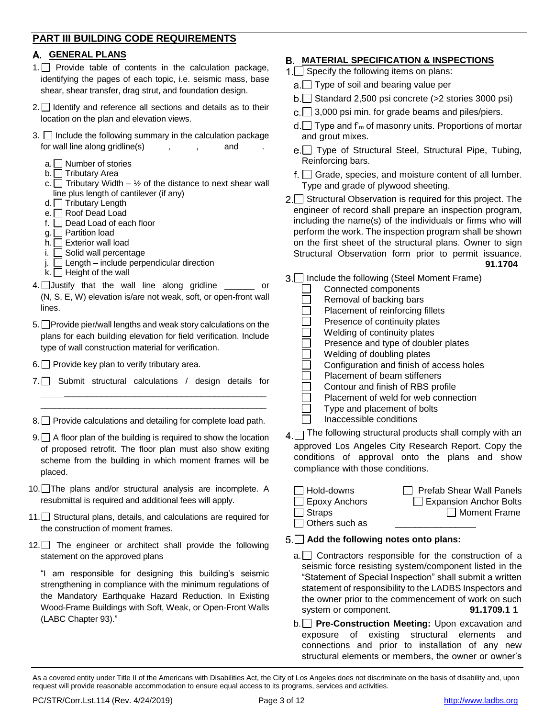## **PART III BUILDING CODE REQUIREMENTS**

### **GENERAL PLANS**

- 1. Provide table of contents in the calculation package, identifying the pages of each topic, i.e. seismic mass, base shear, shear transfer, drag strut, and foundation design.
- 2. Identify and reference all sections and details as to their location on the plan and elevation views.
- $3.$  Include the following summary in the calculation package for wall line along gridline(s)  $\qquad \qquad$ , and  $\qquad \qquad$ .
	- a.  $\Box$  Number of stories
	- b.  $\Box$  Tributary Area
	- c.  $\Box$  Tributary Width 1/2 of the distance to next shear wall line plus length of cantilever (if any)
	- d. Tributary Length
	- e. **■** Roof Dead Load
	- f. Dead Load of each floor
	- g.  $\Box$  Partition load
	- $\check{\mathsf{h}}$ .  $\Box$  Exterior wall load
	- i. □ Solid wall percentage
	- j. Length include perpendicular direction
	- k.  $\Box$  Height of the wall
- $4.$  Justify that the wall line along gridline  $\_\_$ (N, S, E, W) elevation is/are not weak, soft, or open-front wall lines.
- 5. Provide pier/wall lengths and weak story calculations on the plans for each building elevation for field verification. Include type of wall construction material for verification.
- $6.$  Provide key plan to verify tributary area.
- 7. Submit structural calculations / design details for

\_\_\_\_\_\_\_\_\_\_\_\_\_\_\_\_\_\_\_\_\_\_\_\_\_\_\_\_\_\_\_\_\_\_\_\_\_\_\_\_\_\_\_ \_\_\_\_\_\_\_\_\_\_\_\_\_\_\_\_\_\_\_\_\_\_\_\_\_\_\_\_\_\_\_\_\_\_\_\_\_\_\_\_\_\_\_\_\_\_\_\_

- $8. \Box$  Provide calculations and detailing for complete load path.
- $9. \Box$  A floor plan of the building is required to show the location of proposed retrofit. The floor plan must also show exiting scheme from the building in which moment frames will be placed.
- 10. The plans and/or structural analysis are incomplete. A resubmittal is required and additional fees will apply.
- 11. Structural plans, details, and calculations are required for the construction of moment frames.
- $12.$  The engineer or architect shall provide the following statement on the approved plans

"I am responsible for designing this building's seismic strengthening in compliance with the minimum regulations of the Mandatory Earthquake Hazard Reduction. In Existing Wood-Frame Buildings with Soft, Weak, or Open-Front Walls (LABC Chapter 93)."

# **MATERIAL SPECIFICATION & INSPECTIONS**

- $1.$  Specify the following items on plans:
	- $a.$  Type of soil and bearing value per
	- $b.\Box$  Standard 2,500 psi concrete (>2 stories 3000 psi)
	- $c.\n\Box$  3,000 psi min. for grade beams and piles/piers.
	- $d.\Box$  Type and f'<sub>m</sub> of masonry units. Proportions of mortar and grout mixes.
	- e.□ Type of Structural Steel, Structural Pipe, Tubing, Reinforcing bars.
	- $f.$  Grade, species, and moisture content of all lumber. Type and grade of plywood sheeting.
- $2.\n\Box$  Structural Observation is required for this project. The engineer of record shall prepare an inspection program, including the name(s) of the individuals or firms who will perform the work. The inspection program shall be shown on the first sheet of the structural plans. Owner to sign Structural Observation form prior to permit issuance. **91.1704**
- 3. □ Include the following (Steel Moment Frame)
	- **Connected components**  $\Box$  Removal of backing bars Placement of reinforcing fillets Presence of continuity plates Welding of continuity plates □ Presence and type of doubler plates<br>□ Welding of doubling plates<br>□ Configuration and finish of access ho Welding of doubling plates Configuration and finish of access holes Placement of beam stiffeners Contour and finish of RBS profile Placement of weld for web connection Type and placement of bolts
		- Inaccessible conditions
- $A \cap$  The following structural products shall comply with an
- approved Los Angeles City Research Report. Copy the conditions of approval onto the plans and show compliance with those conditions.

| $\Box$ Hold-downs     | $\Box$ Prefab Shear Wall Panels |
|-----------------------|---------------------------------|
| $\Box$ Epoxy Anchors  | Expansion Anchor Bolts          |
| $\Box$ Straps         | Moment Frame                    |
| $\Box$ Others such as |                                 |

## **Add the following notes onto plans:**

- $a.$  Contractors responsible for the construction of a seismic force resisting system/component listed in the "Statement of Special Inspection" shall submit a written statement of responsibility to the LADBS Inspectors and the owner prior to the commencement of work on such system or component. **91.1709.1 1**
- b. **Pre-Construction Meeting:** Upon excavation and exposure of existing structural elements and connections and prior to installation of any new structural elements or members, the owner or owner's

As a covered entity under Title II of the Americans with Disabilities Act, the City of Los Angeles does not discriminate on the basis of disability and, upon request will provide reasonable accommodation to ensure equal access to its programs, services and activities.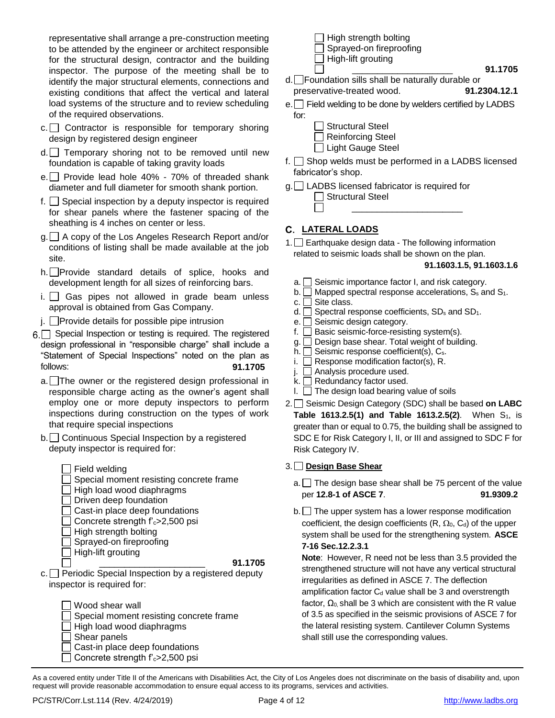representative shall arrange a pre-construction meeting to be attended by the engineer or architect responsible for the structural design, contractor and the building inspector. The purpose of the meeting shall be to identify the major structural elements, connections and existing conditions that affect the vertical and lateral load systems of the structure and to review scheduling of the required observations.

- $c.$  Contractor is responsible for temporary shoring design by registered design engineer
- d. Temporary shoring not to be removed until new foundation is capable of taking gravity loads
- e. Provide lead hole  $40\%$  70% of threaded shank diameter and full diameter for smooth shank portion.
- f.  $\Box$  Special inspection by a deputy inspector is required for shear panels where the fastener spacing of the sheathing is 4 inches on center or less.
- g. A copy of the Los Angeles Research Report and/or conditions of listing shall be made available at the job site.
- h. Provide standard details of splice, hooks and development length for all sizes of reinforcing bars.
- $i.$  Gas pipes not allowed in grade beam unless approval is obtained from Gas Company.
- $j.$  Provide details for possible pipe intrusion
- 6. Special Inspection or testing is required. The registered design professional in "responsible charge" shall include a "Statement of Special Inspections" noted on the plan as follows: **91.1705**
	- a. The owner or the registered design professional in responsible charge acting as the owner's agent shall employ one or more deputy inspectors to perform inspections during construction on the types of work that require special inspections
	- b. Continuous Special Inspection by a registered deputy inspector is required for:
		- $\Box$  Field welding Special moment resisting concrete frame
		- $\Box$  High load wood diaphragms
		- $\Box$  Driven deep foundation
		- $\Box$  Cast-in place deep foundations
		- Concrete strength  $f_c$ >2,500 psi
		- $\Box$  High strength bolting
		- Sprayed-on fireproofing
		- $\Box$  High-lift grouting

#### \_\_\_\_\_\_\_\_\_\_\_\_\_\_\_\_\_\_\_\_\_ **91.1705**

- $c.$  Periodic Special Inspection by a registered deputy inspector is required for:
	- Wood shear wall  $\Box$  Special moment resisting concrete frame  $\Box$  High load wood diaphragms  $\Box$  Shear panels  $\Box$  Cast-in place deep foundations Concrete strength  $f_c$ >2,500 psi
- $\Box$  High strength bolting Sprayed-on fireproofing  $\Box$  High-lift grouting
- d. Foundation sills shall be naturally durable or preservative-treated wood. **91.2304.12.1**
- e. Field welding to be done by welders certified by LADBS for:
	- Structural Steel
	- Reinforcing Steel
	- □ Light Gauge Steel
- f.  $\Box$  Shop welds must be performed in a LADBS licensed fabricator's shop.
- g. LADBS licensed fabricator is required for Structural Steel  $\overline{\phantom{a}}$  , and the contract of the contract of the contract of the contract of the contract of the contract of the contract of the contract of the contract of the contract of the contract of the contract of the contrac

### **LATERAL LOADS**

1. Earthquake design data - The following information related to seismic loads shall be shown on the plan.

#### **91.1603.1.5, 91.1603.1.6**

\_\_\_\_\_\_\_\_\_\_\_\_\_\_\_\_\_\_\_\_ **91.1705**

- $a. \Box$  Seismic importance factor I, and risk category.
- b.  $\Box$  Mapped spectral response accelerations,  $S_s$  and  $S_1$ .
- $c.$  Site class.
- d.  $\Box$  Spectral response coefficients, SD<sub>s</sub> and SD<sub>1</sub>.
- $e.$  Seismic design category.
- f.  $\Box$  Basic seismic-force-resisting system(s).
- $g.$  Design base shear. Total weight of building.
- h.  $\square$  Seismic response coefficient(s),  $\mathsf{C}_{s}$ .
- i.  $\Box$  Response modification factor(s), R.
- j.  $\Box$  Analysis procedure used.
- $k.$  Redundancy factor used.
- $I.$  The design load bearing value of soils
- 2. Seismic Design Category (SDC) shall be based **on LABC Table 1613.2.5(1) and Table 1613.2.5(2)**. When S<sub>1</sub>, is greater than or equal to 0.75, the building shall be assigned to SDC E for Risk Category I, II, or III and assigned to SDC F for Risk Category IV.

### 3. **Design Base Shear**

- $a.$  The design base shear shall be 75 percent of the value per **12.8-1 of ASCE 7**. **91.9309.2**
- b. The upper system has a lower response modification coefficient, the design coefficients  $(R, \Omega_0, C_d)$  of the upper system shall be used for the strengthening system. **ASCE 7-16 Sec.12.2.3.1**

**Note**: However, R need not be less than 3.5 provided the strengthened structure will not have any vertical structural irregularities as defined in ASCE 7. The deflection amplification factor  $C_d$  value shall be 3 and overstrength factor,  $\Omega_0$ , shall be 3 which are consistent with the R value of 3.5 as specified in the seismic provisions of ASCE 7 for the lateral resisting system. Cantilever Column Systems shall still use the corresponding values.

As a covered entity under Title II of the Americans with Disabilities Act, the City of Los Angeles does not discriminate on the basis of disability and, upon request will provide reasonable accommodation to ensure equal access to its programs, services and activities.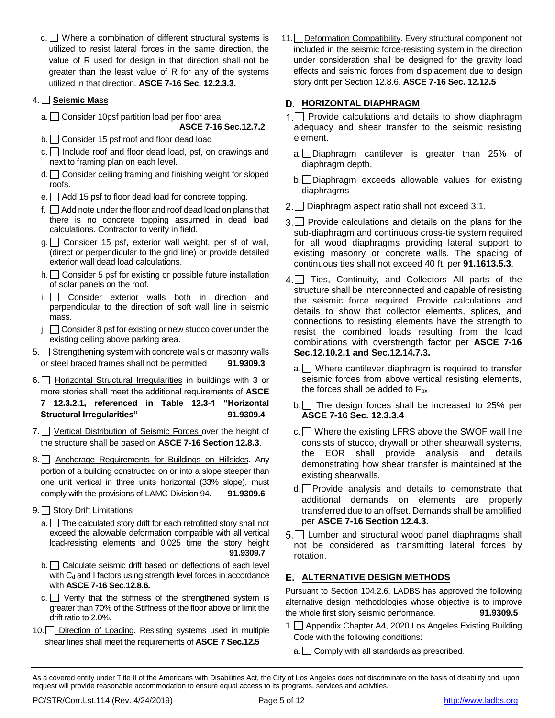$c.$  Where a combination of different structural systems is utilized to resist lateral forces in the same direction, the value of R used for design in that direction shall not be greater than the least value of R for any of the systems utilized in that direction. **ASCE 7-16 Sec. 12.2.3.3.**

### 4. **Seismic Mass**

 $a.$  Consider 10psf partition load per floor area.

**ASCE 7-16 Sec.12.7.2**

- b. Consider 15 psf roof and floor dead load
- $c.$  Include roof and floor dead load, psf, on drawings and next to framing plan on each level.
- $d.$   $\Box$  Consider ceiling framing and finishing weight for sloped roofs.
- $e.$  Add 15 psf to floor dead load for concrete topping.
- $f.$   $\Box$  Add note under the floor and roof dead load on plans that there is no concrete topping assumed in dead load calculations. Contractor to verify in field.
- $g \square$  Consider 15 psf, exterior wall weight, per sf of wall, (direct or perpendicular to the grid line) or provide detailed exterior wall dead load calculations.
- $h.$  Consider 5 psf for existing or possible future installation of solar panels on the roof.
- i. Consider exterior walls both in direction and perpendicular to the direction of soft wall line in seismic mass.
- $j. \Box$  Consider 8 psf for existing or new stucco cover under the existing ceiling above parking area.
- $5.$  Strengthening system with concrete walls or masonry walls or steel braced frames shall not be permitted **91.9309.3**
- 6. Horizontal Structural Irregularities in buildings with 3 or more stories shall meet the additional requirements of **ASCE 7 12.3.2.1, referenced in Table 12.3-1 "Horizontal Structural Irregularities" 91.9309.4**
- 7. Vertical Distribution of Seismic Forces over the height of the structure shall be based on **ASCE 7-16 Section 12.8.3**.
- 8. Anchorage Requirements for Buildings on Hillsides. Any portion of a building constructed on or into a slope steeper than one unit vertical in three units horizontal (33% slope), must comply with the provisions of LAMC Division 94. **91.9309.6**
- 9. Story Drift Limitations
	- $a.$  The calculated story drift for each retrofitted story shall not exceed the allowable deformation compatible with all vertical load-resisting elements and 0.025 time the story height **91.9309.7**
	- $b.$   $\Box$  Calculate seismic drift based on deflections of each level with  $C_d$  and I factors using strength level forces in accordance with **ASCE 7-16 Sec.12.8.6.**
	- $c.$  Verify that the stiffness of the strengthened system is greater than 70% of the Stiffness of the floor above or limit the drift ratio to 2.0%.
- 10. Direction of Loading. Resisting systems used in multiple shear lines shall meet the requirements of **ASCE 7 Sec.12.5**

11. Deformation Compatibility. Every structural component not included in the seismic force-resisting system in the direction under consideration shall be designed for the gravity load effects and seismic forces from displacement due to design story drift per Section 12.8.6. **ASCE 7-16 Sec. 12.12.5**

### **HORIZONTAL DIAPHRAGM**

- 1.  $\Box$  Provide calculations and details to show diaphragm adequacy and shear transfer to the seismic resisting element.
	- a. Diaphragm cantilever is greater than 25% of diaphragm depth.
	- b. Diaphragm exceeds allowable values for existing diaphragms
- 2. Diaphragm aspect ratio shall not exceed 3:1.
- 3. Provide calculations and details on the plans for the sub-diaphragm and continuous cross-tie system required for all wood diaphragms providing lateral support to existing masonry or concrete walls. The spacing of continuous ties shall not exceed 40 ft. per **91.1613.5.3**.
- 4. Ties, Continuity, and Collectors All parts of the structure shall be interconnected and capable of resisting the seismic force required. Provide calculations and details to show that collector elements, splices, and connections to resisting elements have the strength to resist the combined loads resulting from the load combinations with overstrength factor per **ASCE 7-16 Sec.12.10.2.1 and Sec.12.14.7.3.**
	- $a.$  Where cantilever diaphragm is required to transfer seismic forces from above vertical resisting elements, the forces shall be added to  $F_{px}$
	- $b.$  The design forces shall be increased to 25% per **ASCE 7-16 Sec. 12.3.3.4**
	- $c.$  Where the existing LFRS above the SWOF wall line consists of stucco, drywall or other shearwall systems, the EOR shall provide analysis and details demonstrating how shear transfer is maintained at the existing shearwalls.
	- $d.$  Provide analysis and details to demonstrate that additional demands on elements are properly transferred due to an offset. Demands shall be amplified per **ASCE 7-16 Section 12.4.3.**
- 5. Lumber and structural wood panel diaphragms shall not be considered as transmitting lateral forces by rotation.

### **ALTERNATIVE DESIGN METHODS**

Pursuant to Section 104.2.6, LADBS has approved the following alternative design methodologies whose objective is to improve the whole first story seismic performance. **91.9309.5**

- 1. Appendix Chapter A4, 2020 Los Angeles Existing Building Code with the following conditions:
	- $a.$  Comply with all standards as prescribed.

As a covered entity under Title II of the Americans with Disabilities Act, the City of Los Angeles does not discriminate on the basis of disability and, upon request will provide reasonable accommodation to ensure equal access to its programs, services and activities.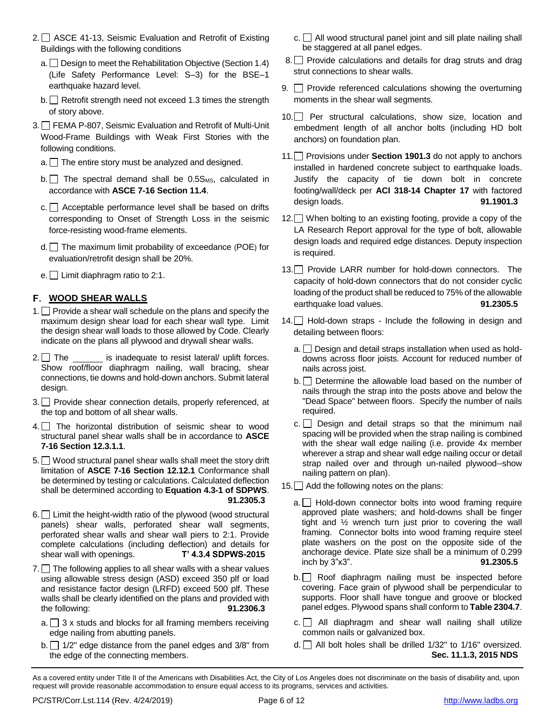- 2. ASCE 41-13, Seismic Evaluation and Retrofit of Existing Buildings with the following conditions
	- $a.$  Design to meet the Rehabilitation Objective (Section 1.4) (Life Safety Performance Level: S–3) for the BSE–1 earthquake hazard level.
	- $b.$  Retrofit strength need not exceed 1.3 times the strength of story above.
- 3. FEMA P-807, Seismic Evaluation and Retrofit of Multi-Unit Wood-Frame Buildings with Weak First Stories with the following conditions.
	- $a.$  The entire story must be analyzed and designed.
	- $b.$  The spectral demand shall be 0.5 $S_{MS}$ , calculated in accordance with **ASCE 7-16 Section 11.4**.
	- $c.$  Acceptable performance level shall be based on drifts corresponding to Onset of Strength Loss in the seismic force-resisting wood-frame elements.
	- $d.$  The maximum limit probability of exceedance (POE) for evaluation/retrofit design shall be 20%.
	- e.  $\Box$  Limit diaphragm ratio to 2:1.

### **WOOD SHEAR WALLS**

- 1.  $\Box$  Provide a shear wall schedule on the plans and specify the maximum design shear load for each shear wall type. Limit the design shear wall loads to those allowed by Code. Clearly indicate on the plans all plywood and drywall shear walls.
- $2. \Box$  The is inadequate to resist lateral/ uplift forces. Show roof/floor diaphragm nailing, wall bracing, shear connections, tie downs and hold-down anchors. Submit lateral design.
- 3. Provide shear connection details, properly referenced, at the top and bottom of all shear walls.
- 4. The horizontal distribution of seismic shear to wood structural panel shear walls shall be in accordance to **ASCE 7-16 Section 12.3.1.1**.
- 5. Wood structural panel shear walls shall meet the story drift limitation of **ASCE 7-16 Section 12.12.1** Conformance shall be determined by testing or calculations. Calculated deflection shall be determined according to **Equation 4.3-1 of SDPWS**. **91.2305.3**
- 6. E Limit the height-width ratio of the plywood (wood structural panels) shear walls, perforated shear wall segments, perforated shear walls and shear wall piers to 2:1. Provide complete calculations (including deflection) and details for shear wall with openings. **T' 4.3.4 SDPWS-2015**
- $7.$  The following applies to all shear walls with a shear values using allowable stress design (ASD) exceed 350 plf or load and resistance factor design (LRFD) exceed 500 plf. These walls shall be clearly identified on the plans and provided with the following: **91.2306.3**
	- $a. \Box$  3 x studs and blocks for all framing members receiving edge nailing from abutting panels.
	- $b.$  1/2" edge distance from the panel edges and 3/8" from the edge of the connecting members.
- $c.$  All wood structural panel joint and sill plate nailing shall be staggered at all panel edges.
- 8. Provide calculations and details for drag struts and drag strut connections to shear walls.
- 9.  $\Box$  Provide referenced calculations showing the overturning moments in the shear wall segments.
- 10. Per structural calculations, show size, location and embedment length of all anchor bolts (including HD bolt anchors) on foundation plan.
- 11. Provisions under **Section 1901.3** do not apply to anchors installed in hardened concrete subject to earthquake loads. Justify the capacity of tie down bolt in concrete footing/wall/deck per **ACI 318-14 Chapter 17** with factored design loads. **91.1901.3**
- 12. When bolting to an existing footing, provide a copy of the LA Research Report approval for the type of bolt, allowable design loads and required edge distances. Deputy inspection is required.
- 13. Provide LARR number for hold-down connectors. The capacity of hold-down connectors that do not consider cyclic loading of the product shall be reduced to 75% of the allowable earthquake load values. **91.2305.5**
- $14.$  Hold-down straps Include the following in design and detailing between floors:
	- $a.$  Design and detail straps installation when used as holddowns across floor joists. Account for reduced number of nails across joist.
	- b. Determine the allowable load based on the number of nails through the strap into the posts above and below the "Dead Space" between floors. Specify the number of nails required.
	- $c.$  Design and detail straps so that the minimum nail spacing will be provided when the strap nailing is combined with the shear wall edge nailing (i.e. provide 4x member wherever a strap and shear wall edge nailing occur or detail strap nailed over and through un-nailed plywood--show nailing pattern on plan).

 $15.$  Add the following notes on the plans:

- $a.$  Hold-down connector bolts into wood framing require approved plate washers; and hold-downs shall be finger tight and ½ wrench turn just prior to covering the wall framing. Connector bolts into wood framing require steel plate washers on the post on the opposite side of the anchorage device. Plate size shall be a minimum of 0.299 inch by 3"x3". **91.2305.5**
- b. Roof diaphragm nailing must be inspected before covering. Face grain of plywood shall be perpendicular to supports. Floor shall have tongue and groove or blocked panel edges. Plywood spans shall conform to **Table 2304.7**.
- $c.$  All diaphragm and shear wall nailing shall utilize common nails or galvanized box.
- $d.$  All bolt holes shall be drilled 1/32" to 1/16" oversized. **Sec. 11.1.3, 2015 NDS**

As a covered entity under Title II of the Americans with Disabilities Act, the City of Los Angeles does not discriminate on the basis of disability and, upon request will provide reasonable accommodation to ensure equal access to its programs, services and activities.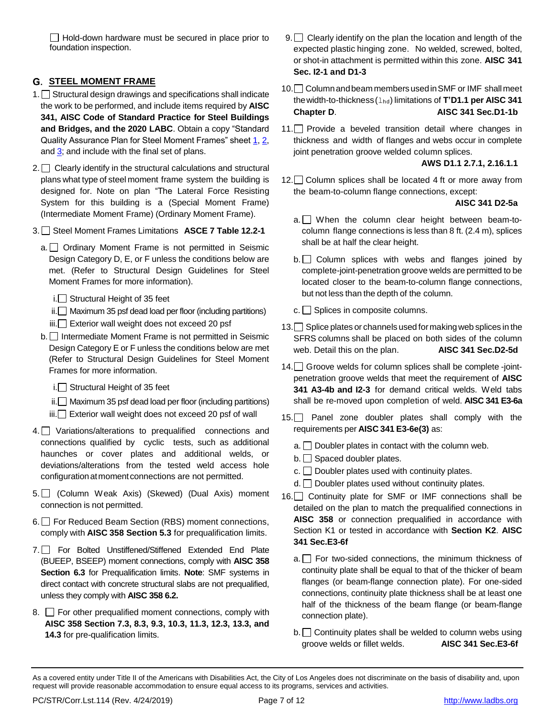$\Box$  Hold-down hardware must be secured in place prior to foundation inspection.

## **STEEL MOMENT FRAME**

- 1. Structural design drawings and specifications shall indicate the work to be performed, and include items required by **AISC 341, AISC Code of Standard Practice for Steel Buildings and Bridges, and the 2020 LABC**. Obtain a copy "Standard Quality Assurance Plan for Steel Moment Frames" sheet [1,](http://ladbs.org/docs/default-source/publications/standard-plans/standard-quality-assurance-plan-for-steel-moment-frames-sheet-1-of-3.pdf) [2,](http://ladbs.org/docs/default-source/publications/standard-plans/standard-quality-assurance-plan-for-steel-moment-frames-sheet-2-of-3.pdf) and [3;](http://ladbs.org/docs/default-source/publications/standard-plans/standard-quality-assurance-plan-for-steel-moment-frames-sheet-3-of-3.pdf) and include with the final set of plans.
- $2.$  Clearly identify in the structural calculations and structural plans what type of steel moment frame system the building is designed for. Note on plan "The Lateral Force Resisting System for this building is a (Special Moment Frame) (Intermediate Moment Frame) (Ordinary Moment Frame).
- 3. Steel Moment Frames Limitations **ASCE 7 Table 12.2-1**
	- a. Ordinary Moment Frame is not permitted in Seismic Design Category D, E, or F unless the conditions below are met. (Refer to Structural Design Guidelines for Steel Moment Frames for more information).
		- $i.$  Structural Height of 35 feet
		- $ii.$  Maximum 35 psf dead load per floor (including partitions)
		- iii. Exterior wall weight does not exceed 20 psf
	- b. **I**ntermediate Moment Frame is not permitted in Seismic Design Category E or F unless the conditions below are met (Refer to Structural Design Guidelines for Steel Moment Frames for more information.
		- $i.\Box$  Structural Height of 35 feet
		- $ii.$  Maximum 35 psf dead load per floor (including partitions)
		- iii. Exterior wall weight does not exceed 20 psf of wall
- 4. Variations/alterations to prequalified connections and connections qualified by cyclic tests, such as additional haunches or cover plates and additional welds, or deviations/alterations from the tested weld access hole configuration at moment connections are not permitted.
- 5. (Column Weak Axis) (Skewed) (Dual Axis) moment connection is not permitted.
- 6. For Reduced Beam Section (RBS) moment connections, comply with **AISC 358 Section 5.3** for prequalification limits.
- 7. For Bolted Unstiffened/Stiffened Extended End Plate (BUEEP, BSEEP) moment connections, comply with **AISC 358 Section 6.3** for Prequalification limits. **Note**: SMF systems in direct contact with concrete structural slabs are not prequalified, unless they comply with **AISC 358 6.2.**
- 8.  $\Box$  For other prequalified moment connections, comply with **AISC 358 Section 7.3, 8.3, 9.3, 10.3, 11.3, 12.3, 13.3, and 14.3** for pre-qualification limits.
- 9. Clearly identify on the plan the location and length of the expected plastic hinging zone. No welded, screwed, bolted, or shot-in attachment is permitted within this zone. **AISC 341 Sec. I2-1 and D1-3**
- 10. Column and beam members used in SMF or IMF shall meet thewidth-to-thickness(lhd) limitations of **T'D1.1 per AISC 341 Chapter D**. **AISC 341 Sec.D1-1b**
- 11. Provide a beveled transition detail where changes in thickness and width of flanges and webs occur in complete joint penetration groove welded column splices.

**AWS D1.1 2.7.1, 2.16.1.1**

12. Column splices shall be located 4 ft or more away from the beam-to-column flange connections, except:

**AISC 341 D2-5a**

- $a.$  When the column clear height between beam-tocolumn flange connections is less than 8 ft. (2.4 m), splices shall be at half the clear height.
- $b.$  Column splices with webs and flanges joined by complete-joint-penetration groove welds are permitted to be located closer to the beam-to-column flange connections, but not less than the depth of the column.
- $c.$  Splices in composite columns.
- 13. Splice plates or channels used for making web splices in the SFRS columns shall be placed on both sides of the column web. Detail this on the plan. **AISC 341 Sec.D2-5d**
- 14. Groove welds for column splices shall be complete -jointpenetration groove welds that meet the requirement of **AISC 341 A3-4b and I2-3** for demand critical welds. Weld tabs shall be re-moved upon completion of weld. **AISC 341 E3-6a**
- 15. Panel zone doubler plates shall comply with the requirements per **AISC 341 E3-6e(3)** as:
	- $a.$  Doubler plates in contact with the column web.
	- $b.$  Spaced doubler plates.
	- $c.$  Doubler plates used with continuity plates.
	- $d.$  Doubler plates used without continuity plates.
- 16. Continuity plate for SMF or IMF connections shall be detailed on the plan to match the prequalified connections in **AISC 358** or connection prequalified in accordance with Section K1 or tested in accordance with **Section K2**. **AISC 341 Sec.E3-6f**
	- $a.$  For two-sided connections, the minimum thickness of continuity plate shall be equal to that of the thicker of beam flanges (or beam-flange connection plate). For one-sided connections, continuity plate thickness shall be at least one half of the thickness of the beam flange (or beam-flange connection plate).
	- $b.$  Continuity plates shall be welded to column webs using groove welds or fillet welds. **AISC 341 Sec.E3-6f**

As a covered entity under Title II of the Americans with Disabilities Act, the City of Los Angeles does not discriminate on the basis of disability and, upon request will provide reasonable accommodation to ensure equal access to its programs, services and activities.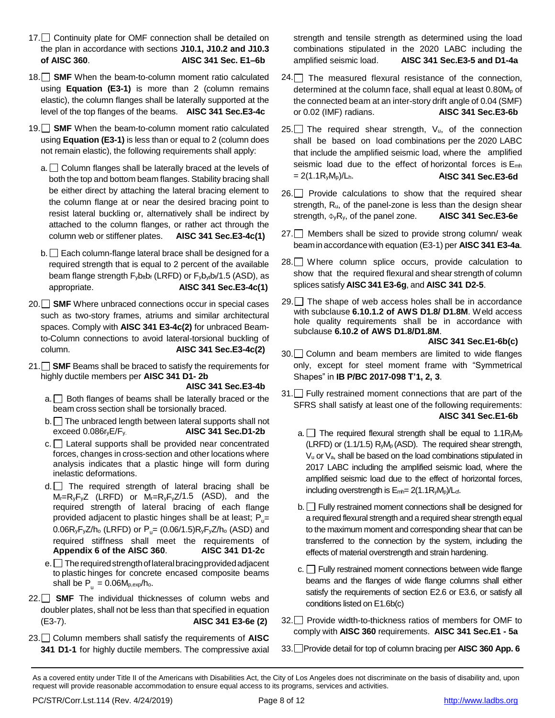- 17. Continuity plate for OMF connection shall be detailed on the plan in accordance with sections **J10.1, J10.2 and J10.3 of AISC 360**. **AISC 341 Sec. E1–6b**
- 18. **SMF** When the beam-to-column moment ratio calculated using **Equation (E3-1)** is more than 2 (column remains elastic), the column flanges shall be laterally supported at the level of the top flanges of the beams. **AISC 341 Sec.E3-4c**
- 19. SMF When the beam-to-column moment ratio calculated using **Equation (E3-1)** is less than or equal to 2 (column does not remain elastic), the following requirements shall apply:
	- $a.$  Column flanges shall be laterally braced at the levels of both the top and bottom beam flanges. Stability bracing shall be either direct by attaching the lateral bracing element to the column flange at or near the desired bracing point to resist lateral buckling or, alternatively shall be indirect by attached to the column flanges, or rather act through the column web or stiffener plates. **AISC 341 Sec.E3-4c(1)**
	- $b.$  Each column-flange lateral brace shall be designed for a required strength that is equal to 2 percent of the available beam flange strength  $F_yb_{ft}b_f$  (LRFD) or  $F_yb_{yt}b_f/1.5$  (ASD), as appropriate. **AISC 341 Sec.E3-4c(1)**
- 20. SMF Where unbraced connections occur in special cases such as two-story frames, atriums and similar architectural spaces. Comply with **AISC 341 E3-4c(2)** for unbraced Beamto-Column connections to avoid lateral-torsional buckling of column. **AISC 341 Sec.E3-4c(2)**
- 21. **SMF** Beams shall be braced to satisfy the requirements for highly ductile members per **AISC 341 D1- 2b**

**AISC 341 Sec.E3-4b**

- $a.$  Both flanges of beams shall be laterally braced or the beam cross section shall be torsionally braced.
- $b.$  The unbraced length between lateral supports shall not exceed 0.086ryE/Fy. **AISC 341 Sec.D1-2b**
- c. Lateral supports shall be provided near concentrated forces, changes in cross-section and other locations where analysis indicates that a plastic hinge will form during inelastic deformations.
- $d.$  The required strength of lateral bracing shall be  $M_r=R_yF_yZ$  (LRFD) or  $M_r=R_yF_yZ/1.5$  (ASD), and the required strength of lateral bracing of each flange provided adjacent to plastic hinges shall be at least;  $P_u=$ 0.06R<sub>y</sub>F<sub>y</sub>Z/h<sub>o</sub> (LRFD) or  $P_{u} = (0.06/1.5)R_{y}F_{y}Z/h_{o}$  (ASD) and required stiffness shall meet the requirements of **Appendix 6 of the AISC 360**. **AISC 341 D1-2c**
- $e.$  The required strength of lateral bracing provided adjacent to plastic hinges for concrete encased composite beams shall be  $\mathsf{P}_{_\mathrm{u}} = 0.06\mathsf{M}_{\mathrm{p,exp}}/\mathsf{h}_\mathrm{o}.$
- 22. SMF The individual thicknesses of column webs and doubler plates, shall not be less than that specified in equation (E3-7). **AISC 341 E3-6e (2)**
- 23. Column members shall satisfy the requirements of **AISC 341 D1-1** for highly ductile members. The compressive axial

strength and tensile strength as determined using the load combinations stipulated in the 2020 LABC including the amplified seismic load. **AISC 341 Sec.E3-5 and D1-4a**

- $24.$  The measured flexural resistance of the connection, determined at the column face, shall equal at least  $0.80M<sub>p</sub>$  of the connected beam at an inter-story drift angle of 0.04 (SMF) or 0.02 (IMF) radians. **AISC 341 Sec.E3-6b**
- 25. The required shear strength,  $V_u$ , of the connection shall be based on load combinations per the 2020 LABC that include the amplified seismic load, where the amplified seismic load due to the effect of horizontal forces is Emh = 2(1.1RyMp)/Lh. **AISC 341 Sec.E3-6d**
- $26.$  Provide calculations to show that the required shear strength, Ru, of the panel-zone is less than the design shear strength, ΦyRy, of the panel zone. **AISC 341 Sec.E3-6e**
- 27. Members shall be sized to provide strong column/ weak beamin accordancewith equation (E3-1) per **AISC 341 E3-4a**.
- 28. Where column splice occurs, provide calculation to show that the required flexural and shear strength of column splices satisfy **AISC 341E3-6g**, and **AISC 341 D2-5**.
- $29.$  The shape of web access holes shall be in accordance with subclause **6.10.1.2 of AWS D1.8/ D1.8M**. Weld access hole quality requirements shall be in accordance with subclause **6.10.2 of AWS D1.8/D1.8M**.

**AISC 341 Sec.E1-6b(c)**

- 30. Column and beam members are limited to wide flanges only, except for steel moment frame with "Symmetrical Shapes" in **IB P/BC 2017-098 T'1, 2, 3**.
- 31. Fully restrained moment connections that are part of the SFRS shall satisfy at least one of the following requirements: **AISC 341 Sec.E1-6b**
	- a.  $\Box$  The required flexural strength shall be equal to 1.1R $M_{\text{p}}$ (LRFD) or (1.1/1.5)  $R_yM_p$  (ASD). The required shear strength, V<sup>u</sup> or Va, shall be based on the load combinations stipulated in 2017 LABC including the amplified seismic load, where the amplified seismic load due to the effect of horizontal forces, including overstrength is  $E_{\text{mh}}= 2(1.1R_vM_p)/L_{cf.}$
	- $b.$  Fully restrained moment connections shall be designed for a required flexural strength and a required shear strength equal to the maximum moment and corresponding shear that can be transferred to the connection by the system, including the effects of material overstrength and strain hardening.
	- $c.$  Fully restrained moment connections between wide flange beams and the flanges of wide flange columns shall either satisfy the requirements of section E2.6 or E3.6, or satisfy all conditions listed on E1.6b(c)
- 32. Provide width-to-thickness ratios of members for OMF to comply with **AISC 360** requirements. **AISC 341 Sec.E1 - 5a**
- 33. Provide detail for top of column bracing per **AISC 360 App. 6**

As a covered entity under Title II of the Americans with Disabilities Act, the City of Los Angeles does not discriminate on the basis of disability and, upon request will provide reasonable accommodation to ensure equal access to its programs, services and activities.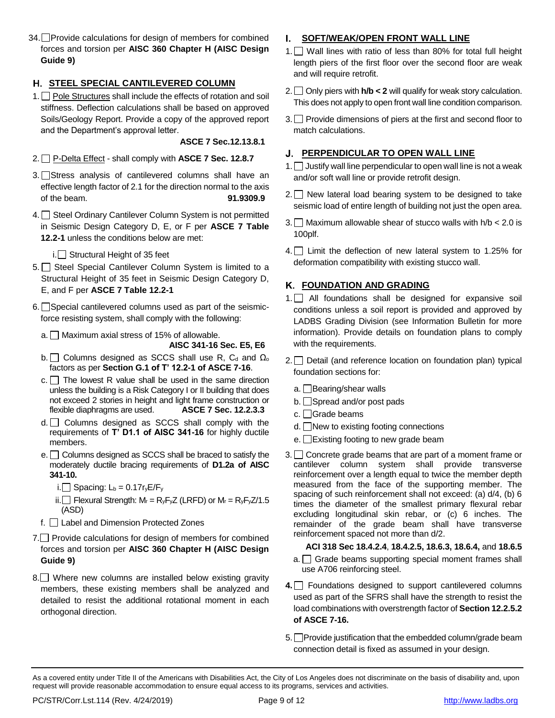34. Provide calculations for design of members for combined forces and torsion per **AISC 360 Chapter H (AISC Design Guide 9)**

## **STEEL SPECIAL CANTILEVERED COLUMN**

 $1. \Box$  Pole Structures shall include the effects of rotation and soil stiffness. Deflection calculations shall be based on approved Soils/Geology Report. Provide a copy of the approved report and the Department's approval letter.

**ASCE 7 Sec.12.13.8.1**

- 2. P-Delta Effect shall comply with **ASCE 7 Sec. 12.8.7**
- 3. Stress analysis of cantilevered columns shall have an effective length factor of 2.1 for the direction normal to the axis of the beam. **91.9309.9**
- 4. Steel Ordinary Cantilever Column System is not permitted in Seismic Design Category D, E, or F per **ASCE 7 Table 12.2-1** unless the conditions below are met:

 $i.$  Structural Height of 35 feet

- 5. Steel Special Cantilever Column System is limited to a Structural Height of 35 feet in Seismic Design Category D, E, and F per **ASCE 7 Table 12.2-1**
- $6.$  Special cantilevered columns used as part of the seismicforce resisting system, shall comply with the following:
	- $a.$  Maximum axial stress of 15% of allowable.
		- **AISC 341-16 Sec. E5, E6**
	- b.  $\Box$  Columns designed as SCCS shall use R, C<sub>d</sub> and  $\Omega_0$ factors as per **Section G.1 of T' 12.2-1 of ASCE 7-16**.
	- $c.$  The lowest R value shall be used in the same direction unless the building is a Risk Category I or II building that does not exceed 2 stories in height and light frame construction or flexible diaphragms are used. **ASCE 7 Sec. 12.2.3.3**
	- $d.$  Columns designed as SCCS shall comply with the requirements of **T' D1.1 of AISC 341-16** for highly ductile members.
	- $e.$  Columns designed as SCCS shall be braced to satisfy the moderately ductile bracing requirements of **D1.2a of AISC 341-10.**
		- i. Spacing:  $L_b = 0.17r_yE/F_y$
		- ii. Flexural Strength:  $M_r = R_yF_yZ$  (LRFD) or  $M_r = R_yF_yZ/1.5$ (ASD)
	- f. Label and Dimension Protected Zones
- 7. Provide calculations for design of members for combined forces and torsion per **AISC 360 Chapter H (AISC Design Guide 9)**
- 8. Where new columns are installed below existing gravity members, these existing members shall be analyzed and detailed to resist the additional rotational moment in each orthogonal direction.

## **SOFT/WEAK/OPEN FRONT WALL LINE**

- 1. Wall lines with ratio of less than 80% for total full height length piers of the first floor over the second floor are weak and will require retrofit.
- 2.  $\Box$  Only piers with  $h/b < 2$  will qualify for weak story calculation. This does not apply to open front wall line condition comparison.
- 3. Provide dimensions of piers at the first and second floor to match calculations.

## **PERPENDICULAR TO OPEN WALL LINE**

- 1.  $\Box$  Justify wall line perpendicular to open wall line is not a weak and/or soft wall line or provide retrofit design.
- $2.$  New lateral load bearing system to be designed to take seismic load of entire length of building not just the open area.
- 3. Maximum allowable shear of stucco walls with  $h/b < 2.0$  is 100plf.
- 4. Limit the deflection of new lateral system to 1.25% for deformation compatibility with existing stucco wall.

# **FOUNDATION AND GRADING**

- 1. All foundations shall be designed for expansive soil conditions unless a soil report is provided and approved by LADBS Grading Division (see Information Bulletin for more information). Provide details on foundation plans to comply with the requirements.
- $2.$  Detail (and reference location on foundation plan) typical foundation sections for:
	- a. **Bearing/shear walls**
	- b. Spread and/or post pads
	- c. Grade beams
	- d. New to existing footing connections
	- e.  $\Box$  Existing footing to new grade beam
- 3. Concrete grade beams that are part of a moment frame or cantilever column system shall provide transverse reinforcement over a length equal to twice the member depth measured from the face of the supporting member. The spacing of such reinforcement shall not exceed: (a) d/4, (b) 6 times the diameter of the smallest primary flexural rebar excluding longitudinal skin rebar, or (c) 6 inches. The remainder of the grade beam shall have transverse reinforcement spaced not more than d/2.

### **ACI 318 Sec 18.4.2.4**, **18.4.2.5, 18.6.3, 18.6.4,** and **18.6.5**

- $a.$  Grade beams supporting special moment frames shall use A706 reinforcing steel.
- **4.** Foundations designed to support cantilevered columns used as part of the SFRS shall have the strength to resist the load combinations with overstrength factor of **Section 12.2.5.2 of ASCE 7-16.**
- 5. Provide justification that the embedded column/grade beam connection detail is fixed as assumed in your design.

As a covered entity under Title II of the Americans with Disabilities Act, the City of Los Angeles does not discriminate on the basis of disability and, upon request will provide reasonable accommodation to ensure equal access to its programs, services and activities.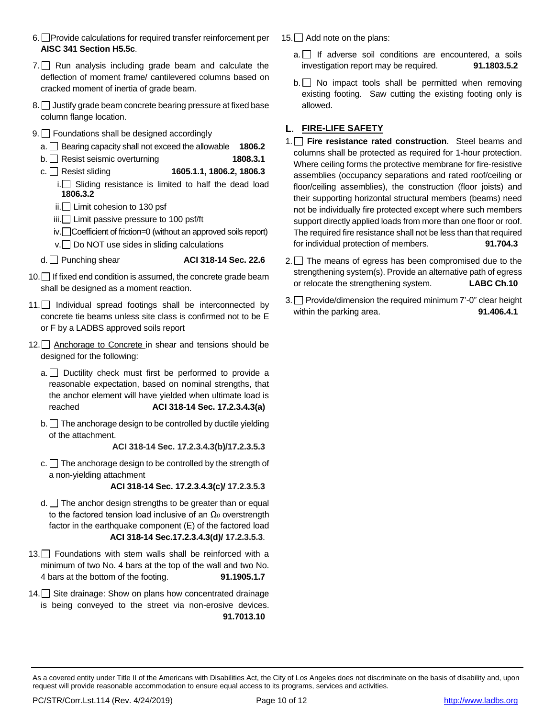- $6.$  Provide calculations for required transfer reinforcement per **AISC 341 Section H5.5c**.
- $7.$  Run analysis including grade beam and calculate the deflection of moment frame/ cantilevered columns based on cracked moment of inertia of grade beam.
- 8. Justify grade beam concrete bearing pressure at fixed base column flange location.
- 9.  $\Box$  Foundations shall be designed accordingly
	- a. Bearing capacity shall not exceed the allowable **1806.2**
	- b. Resist seismic overturning **1808.3.1**
	- c. Resist sliding **1605.1.1, 1806.2, 1806.3**
		- $i.\Box$  Sliding resistance is limited to half the dead load **1806.3.2**
		- $ii.$  Limit cohesion to 130 psf
		- iii. □ Limit passive pressure to 100 psf/ft
		- iv. Coefficient of friction=0 (without an approved soils report) v. Do NOT use sides in sliding calculations
	- d. Punching shear **ACI 318-14 Sec. 22.6**

- $10.$  If fixed end condition is assumed, the concrete grade beam shall be designed as a moment reaction.
- 11. Individual spread footings shall be interconnected by concrete tie beams unless site class is confirmed not to be E or F by a LADBS approved soils report
- 12.  $\Box$  Anchorage to Concrete in shear and tensions should be designed for the following:
	- $a.$  Ductility check must first be performed to provide a reasonable expectation, based on nominal strengths, that the anchor element will have yielded when ultimate load is reached **ACI 318-14 Sec. 17.2.3.4.3(a)**
	- $b.$  The anchorage design to be controlled by ductile yielding of the attachment.

**ACI 318-14 Sec. 17.2.3.4.3(b)/17.2.3.5.3**

 $c.$  The anchorage design to be controlled by the strength of a non-yielding attachment

**ACI 318-14 Sec. 17.2.3.4.3(c)/ 17.2.3.5.3**

- $d.$  The anchor design strengths to be greater than or equal to the factored tension load inclusive of an  $Ω<sub>0</sub>$  overstrength factor in the earthquake component (E) of the factored load **ACI 318-14 Sec.17.2.3.4.3(d)/ 17.2.3.5.3**.
- 13. Foundations with stem walls shall be reinforced with a minimum of two No. 4 bars at the top of the wall and two No. 4 bars at the bottom of the footing. **91.1905.1.7**
- 14. Site drainage: Show on plans how concentrated drainage is being conveyed to the street via non-erosive devices. **91.7013.10**
- 15. Add note on the plans:
	- $a.$  If adverse soil conditions are encountered, a soils investigation report may be required. **91.1803.5.2**
	- $b.$  No impact tools shall be permitted when removing existing footing. Saw cutting the existing footing only is allowed.

### **FIRE-LIFE SAFETY**

- 1. **Fire resistance rated construction**. Steel beams and columns shall be protected as required for 1-hour protection. Where ceiling forms the protective membrane for fire-resistive assemblies (occupancy separations and rated roof/ceiling or floor/ceiling assemblies), the construction (floor joists) and their supporting horizontal structural members (beams) need not be individually fire protected except where such members support directly applied loads from more than one floor or roof. The required fire resistance shall not be less than that required for individual protection of members. **91.704.3**
- $2.$  The means of egress has been compromised due to the strengthening system(s). Provide an alternative path of egress or relocate the strengthening system. **LABC Ch.10**
- $3.$  Provide/dimension the required minimum 7'-0" clear height within the parking area. **91.406.4.1**

As a covered entity under Title II of the Americans with Disabilities Act, the City of Los Angeles does not discriminate on the basis of disability and, upon request will provide reasonable accommodation to ensure equal access to its programs, services and activities.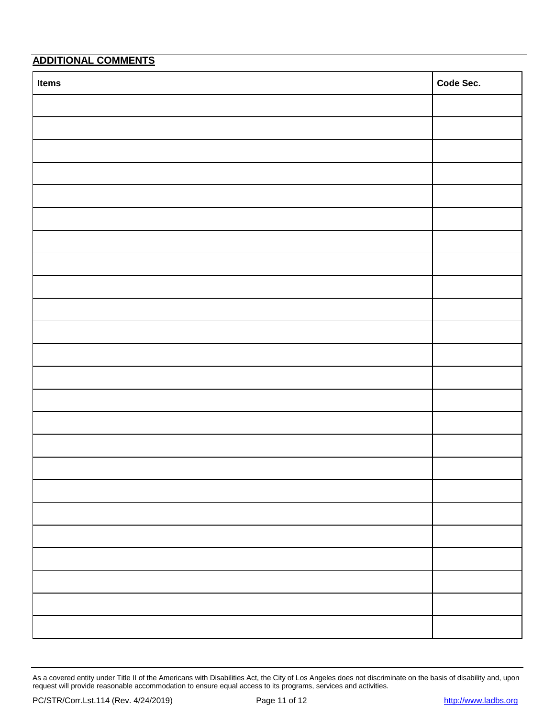# **ADDITIONAL COMMENTS**

| Items | Code Sec. |
|-------|-----------|
|       |           |
|       |           |
|       |           |
|       |           |
|       |           |
|       |           |
|       |           |
|       |           |
|       |           |
|       |           |
|       |           |
|       |           |
|       |           |
|       |           |
|       |           |
|       |           |
|       |           |
|       |           |
|       |           |
|       |           |
|       |           |
|       |           |
|       |           |
|       |           |

As a covered entity under Title II of the Americans with Disabilities Act, the City of Los Angeles does not discriminate on the basis of disability and, upon request will provide reasonable accommodation to ensure equal access to its programs, services and activities.